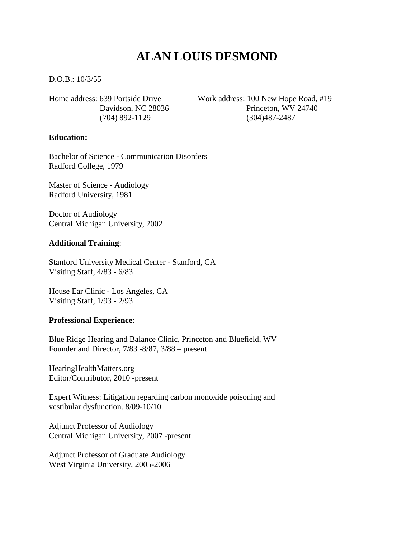# **ALAN LOUIS DESMOND**

D.O.B.: 10/3/55

Home address: 639 Portside Drive Work address: 100 New Hope Road, #19 Davidson, NC 28036 Princeton, WV 24740 (704) 892-1129 (304)487-2487

#### **Education:**

Bachelor of Science - Communication Disorders Radford College, 1979

Master of Science - Audiology Radford University, 1981

Doctor of Audiology Central Michigan University, 2002

#### **Additional Training**:

Stanford University Medical Center - Stanford, CA Visiting Staff, 4/83 - 6/83

House Ear Clinic - Los Angeles, CA Visiting Staff, 1/93 - 2/93

#### **Professional Experience**:

Blue Ridge Hearing and Balance Clinic, Princeton and Bluefield, WV Founder and Director, 7/83 -8/87, 3/88 – present

HearingHealthMatters.org Editor/Contributor, 2010 -present

Expert Witness: Litigation regarding carbon monoxide poisoning and vestibular dysfunction. 8/09-10/10

Adjunct Professor of Audiology Central Michigan University, 2007 -present

Adjunct Professor of Graduate Audiology West Virginia University, 2005-2006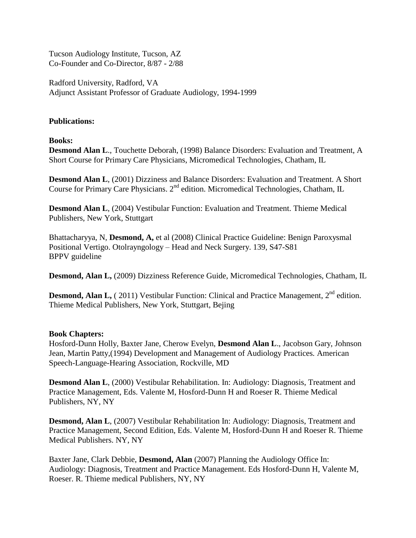Tucson Audiology Institute, Tucson, AZ Co-Founder and Co-Director, 8/87 - 2/88

Radford University, Radford, VA Adjunct Assistant Professor of Graduate Audiology, 1994-1999

# **Publications:**

#### **Books:**

**Desmond Alan L**., Touchette Deborah, (1998) Balance Disorders: Evaluation and Treatment, A Short Course for Primary Care Physicians, Micromedical Technologies, Chatham, IL

**Desmond Alan L**, (2001) Dizziness and Balance Disorders: Evaluation and Treatment. A Short Course for Primary Care Physicians. 2<sup>nd</sup> edition. Micromedical Technologies, Chatham, IL

**Desmond Alan L**, (2004) Vestibular Function: Evaluation and Treatment. Thieme Medical Publishers, New York, Stuttgart

Bhattacharyya, N, **Desmond, A,** et al (2008) Clinical Practice Guideline: Benign Paroxysmal Positional Vertigo. Otolrayngology – Head and Neck Surgery. 139, S47-S81 BPPV guideline

**Desmond, Alan L,** (2009) Dizziness Reference Guide, Micromedical Technologies, Chatham, IL

**Desmond, Alan L,** (2011) Vestibular Function: Clinical and Practice Management, 2<sup>nd</sup> edition. Thieme Medical Publishers, New York, Stuttgart, Bejing

#### **Book Chapters:**

Hosford-Dunn Holly, Baxter Jane, Cherow Evelyn, **Desmond Alan L**., Jacobson Gary, Johnson Jean, Martin Patty,(1994) Development and Management of Audiology Practices*.* American Speech-Language-Hearing Association, Rockville, MD

**Desmond Alan L**, (2000) Vestibular Rehabilitation. In: Audiology: Diagnosis, Treatment and Practice Management, Eds. Valente M, Hosford-Dunn H and Roeser R. Thieme Medical Publishers, NY, NY

**Desmond, Alan L**, (2007) Vestibular Rehabilitation In: Audiology: Diagnosis, Treatment and Practice Management, Second Edition, Eds. Valente M, Hosford-Dunn H and Roeser R. Thieme Medical Publishers. NY, NY

Baxter Jane, Clark Debbie, **Desmond, Alan** (2007) Planning the Audiology Office In: Audiology: Diagnosis, Treatment and Practice Management. Eds Hosford-Dunn H, Valente M, Roeser. R. Thieme medical Publishers, NY, NY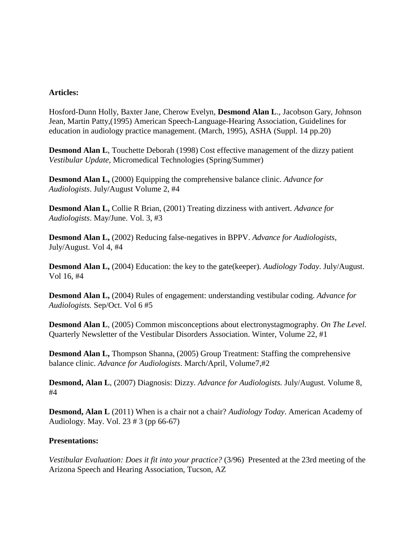# **Articles:**

Hosford-Dunn Holly, Baxter Jane, Cherow Evelyn, **Desmond Alan L**., Jacobson Gary, Johnson Jean, Martin Patty,(1995) American Speech-Language-Hearing Association, Guidelines for education in audiology practice management. (March, 1995), ASHA (Suppl. 14 pp.20)

**Desmond Alan L**, Touchette Deborah (1998) Cost effective management of the dizzy patient *Vestibular Update*, Micromedical Technologies (Spring/Summer)

**Desmond Alan L,** (2000) Equipping the comprehensive balance clinic. *Advance for Audiologists*. July/August Volume 2, #4

**Desmond Alan L,** Collie R Brian, (2001) Treating dizziness with antivert. *Advance for Audiologists*. May/June. Vol. 3, #3

**Desmond Alan L,** (2002) Reducing false-negatives in BPPV. *Advance for Audiologists*, July/August. Vol 4, #4

**Desmond Alan L,** (2004) Education: the key to the gate(keeper). *Audiology Today*. July/August. Vol 16, #4

**Desmond Alan L,** (2004) Rules of engagement: understanding vestibular coding. *Advance for Audiologists.* Sep/Oct. Vol 6 #5

**Desmond Alan L**, (2005) Common misconceptions about electronystagmography. *On The Level.* Quarterly Newsletter of the Vestibular Disorders Association. Winter, Volume 22, #1

**Desmond Alan L,** Thompson Shanna, (2005) Group Treatment: Staffing the comprehensive balance clinic. *Advance for Audiologists*. March/April, Volume7,#2

**Desmond, Alan L**, (2007) Diagnosis: Dizzy. *Advance for Audiologists.* July/August. Volume 8, #4

**Desmond, Alan L** (2011) When is a chair not a chair? *Audiology Today*. American Academy of Audiology. May. Vol. 23 # 3 (pp 66-67)

#### **Presentations:**

*Vestibular Evaluation: Does it fit into your practice?* (3/96) Presented at the 23rd meeting of the Arizona Speech and Hearing Association, Tucson, AZ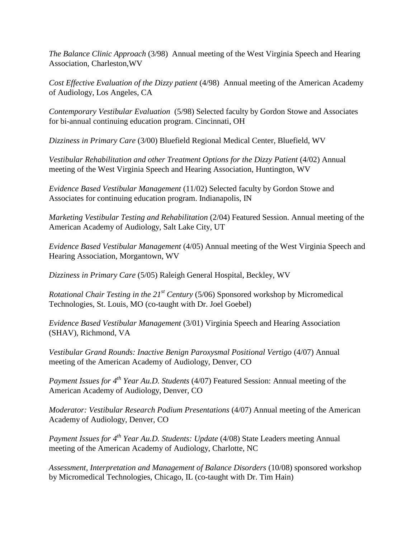*The Balance Clinic Approach* (3/98) Annual meeting of the West Virginia Speech and Hearing Association, Charleston,WV

*Cost Effective Evaluation of the Dizzy patient* (4/98) Annual meeting of the American Academy of Audiology, Los Angeles, CA

*Contemporary Vestibular Evaluation* (5/98) Selected faculty by Gordon Stowe and Associates for bi-annual continuing education program. Cincinnati, OH

*Dizziness in Primary Care* (3/00) Bluefield Regional Medical Center, Bluefield, WV

*Vestibular Rehabilitation and other Treatment Options for the Dizzy Patient* (4/02) Annual meeting of the West Virginia Speech and Hearing Association, Huntington, WV

*Evidence Based Vestibular Management* (11/02) Selected faculty by Gordon Stowe and Associates for continuing education program. Indianapolis, IN

*Marketing Vestibular Testing and Rehabilitation* (2/04) Featured Session. Annual meeting of the American Academy of Audiology, Salt Lake City, UT

*Evidence Based Vestibular Management* (4/05) Annual meeting of the West Virginia Speech and Hearing Association, Morgantown, WV

*Dizziness in Primary Care* (5/05) Raleigh General Hospital, Beckley, WV

*Rotational Chair Testing in the 21st Century* (5/06) Sponsored workshop by Micromedical Technologies, St. Louis, MO (co-taught with Dr. Joel Goebel)

*Evidence Based Vestibular Management* (3/01) Virginia Speech and Hearing Association (SHAV), Richmond, VA

*Vestibular Grand Rounds: Inactive Benign Paroxysmal Positional Vertigo* (4/07) Annual meeting of the American Academy of Audiology, Denver, CO

*Payment Issues for 4th Year Au.D. Students* (4/07) Featured Session: Annual meeting of the American Academy of Audiology, Denver, CO

*Moderator: Vestibular Research Podium Presentations* (4/07) Annual meeting of the American Academy of Audiology, Denver, CO

*Payment Issues for 4th Year Au.D. Students: Update* (4/08) State Leaders meeting Annual meeting of the American Academy of Audiology, Charlotte, NC

*Assessment, Interpretation and Management of Balance Disorders* (10/08) sponsored workshop by Micromedical Technologies, Chicago, IL (co-taught with Dr. Tim Hain)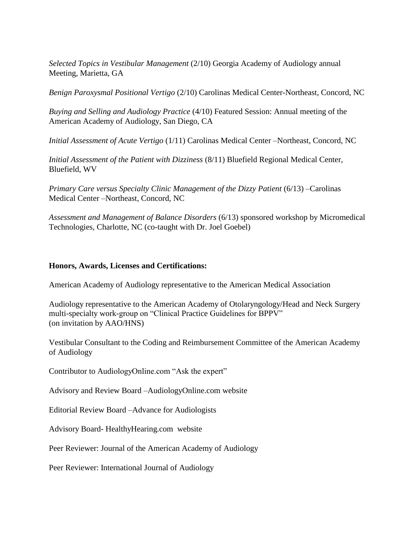*Selected Topics in Vestibular Management* (2/10) Georgia Academy of Audiology annual Meeting, Marietta, GA

*Benign Paroxysmal Positional Vertigo* (2/10) Carolinas Medical Center-Northeast, Concord, NC

*Buying and Selling and Audiology Practice* (4/10) Featured Session: Annual meeting of the American Academy of Audiology, San Diego, CA

*Initial Assessment of Acute Vertigo* (1/11) Carolinas Medical Center –Northeast, Concord, NC

*Initial Assessment of the Patient with Dizziness* (8/11) Bluefield Regional Medical Center, Bluefield, WV

*Primary Care versus Specialty Clinic Management of the Dizzy Patient* (6/13) –Carolinas Medical Center –Northeast, Concord, NC

*Assessment and Management of Balance Disorders* (6/13) sponsored workshop by Micromedical Technologies, Charlotte, NC (co-taught with Dr. Joel Goebel)

# **Honors, Awards, Licenses and Certifications:**

American Academy of Audiology representative to the American Medical Association

Audiology representative to the American Academy of Otolaryngology/Head and Neck Surgery multi-specialty work-group on "Clinical Practice Guidelines for BPPV" (on invitation by AAO/HNS)

Vestibular Consultant to the Coding and Reimbursement Committee of the American Academy of Audiology

Contributor to AudiologyOnline.com "Ask the expert"

Advisory and Review Board –AudiologyOnline.com website

Editorial Review Board –Advance for Audiologists

Advisory Board- HealthyHearing.com website

Peer Reviewer: Journal of the American Academy of Audiology

Peer Reviewer: International Journal of Audiology